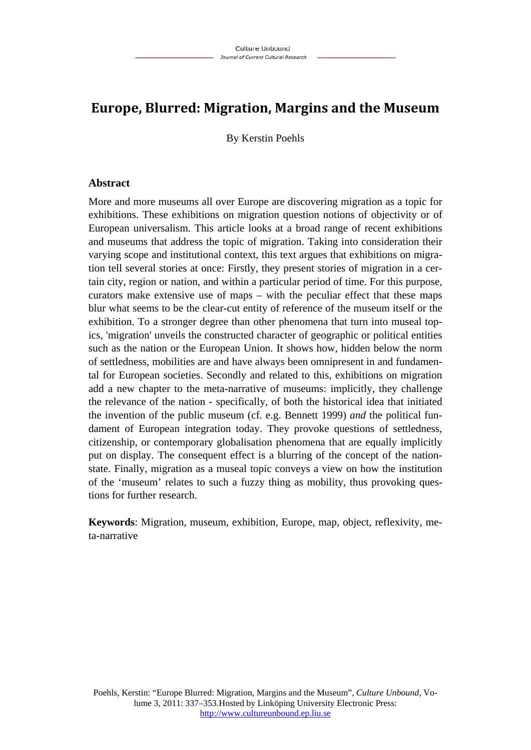# **Europe, Blurred: Migration, Margins and the Museum**

By Kerstin Poehls

### **Abstract**

More and more museums all over Europe are discovering migration as a topic for exhibitions. These exhibitions on migration question notions of objectivity or of European universalism. This article looks at a broad range of recent exhibitions and museums that address the topic of migration. Taking into consideration their varying scope and institutional context, this text argues that exhibitions on migration tell several stories at once: Firstly, they present stories of migration in a certain city, region or nation, and within a particular period of time. For this purpose, curators make extensive use of maps – with the peculiar effect that these maps blur what seems to be the clear-cut entity of reference of the museum itself or the exhibition. To a stronger degree than other phenomena that turn into museal topics, 'migration' unveils the constructed character of geographic or political entities such as the nation or the European Union. It shows how, hidden below the norm of settledness, mobilities are and have always been omnipresent in and fundamental for European societies. Secondly and related to this, exhibitions on migration add a new chapter to the meta-narrative of museums: implicitly, they challenge the relevance of the nation - specifically, of both the historical idea that initiated the invention of the public museum (cf. e.g. Bennett 1999) *and* the political fundament of European integration today. They provoke questions of settledness, citizenship, or contemporary globalisation phenomena that are equally implicitly put on display. The consequent effect is a blurring of the concept of the nationstate. Finally, migration as a museal topic conveys a view on how the institution of the 'museum' relates to such a fuzzy thing as mobility, thus provoking questions for further research.

**Keywords**: Migration, museum, exhibition, Europe, map, object, reflexivity, meta-narrative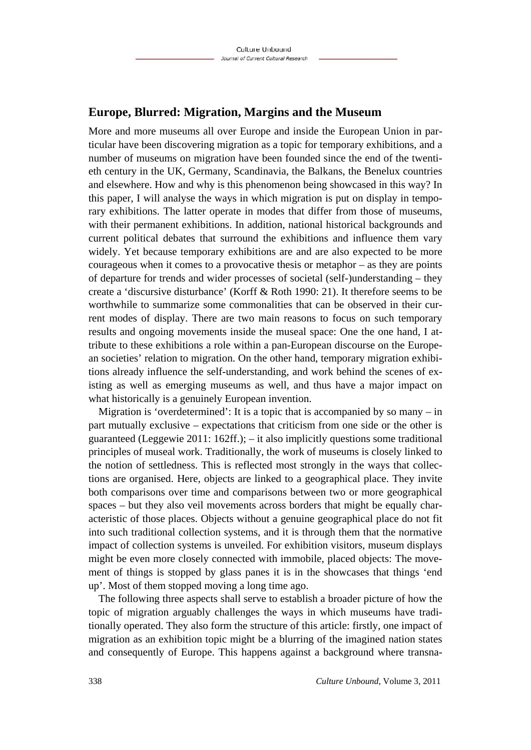## **Europe, Blurred: Migration, Margins and the Museum**

More and more museums all over Europe and inside the European Union in particular have been discovering migration as a topic for temporary exhibitions, and a number of museums on migration have been founded since the end of the twentieth century in the UK, Germany, Scandinavia, the Balkans, the Benelux countries and elsewhere. How and why is this phenomenon being showcased in this way? In this paper, I will analyse the ways in which migration is put on display in temporary exhibitions. The latter operate in modes that differ from those of museums, with their permanent exhibitions. In addition, national historical backgrounds and current political debates that surround the exhibitions and influence them vary widely. Yet because temporary exhibitions are and are also expected to be more courageous when it comes to a provocative thesis or metaphor – as they are points of departure for trends and wider processes of societal (self-)understanding – they create a 'discursive disturbance' (Korff & Roth 1990: 21). It therefore seems to be worthwhile to summarize some commonalities that can be observed in their current modes of display. There are two main reasons to focus on such temporary results and ongoing movements inside the museal space: One the one hand, I attribute to these exhibitions a role within a pan-European discourse on the European societies' relation to migration. On the other hand, temporary migration exhibitions already influence the self-understanding, and work behind the scenes of existing as well as emerging museums as well, and thus have a major impact on what historically is a genuinely European invention.

Migration is 'overdetermined': It is a topic that is accompanied by so many  $-$  in part mutually exclusive – expectations that criticism from one side or the other is guaranteed (Leggewie 2011: 162ff.); – it also implicitly questions some traditional principles of museal work. Traditionally, the work of museums is closely linked to the notion of settledness. This is reflected most strongly in the ways that collections are organised. Here, objects are linked to a geographical place. They invite both comparisons over time and comparisons between two or more geographical spaces – but they also veil movements across borders that might be equally characteristic of those places. Objects without a genuine geographical place do not fit into such traditional collection systems, and it is through them that the normative impact of collection systems is unveiled. For exhibition visitors, museum displays might be even more closely connected with immobile, placed objects: The movement of things is stopped by glass panes it is in the showcases that things 'end up'. Most of them stopped moving a long time ago.

The following three aspects shall serve to establish a broader picture of how the topic of migration arguably challenges the ways in which museums have traditionally operated. They also form the structure of this article: firstly, one impact of migration as an exhibition topic might be a blurring of the imagined nation states and consequently of Europe. This happens against a background where transna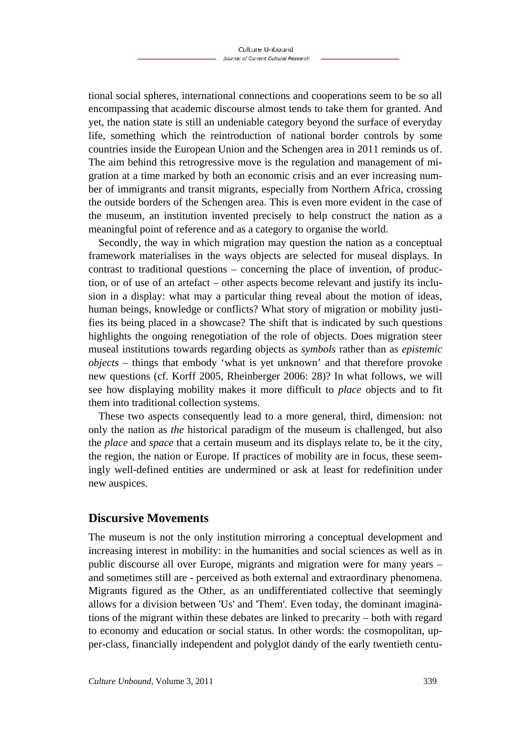tional social spheres, international connections and cooperations seem to be so all encompassing that academic discourse almost tends to take them for granted. And yet, the nation state is still an undeniable category beyond the surface of everyday life, something which the reintroduction of national border controls by some countries inside the European Union and the Schengen area in 2011 reminds us of. The aim behind this retrogressive move is the regulation and management of migration at a time marked by both an economic crisis and an ever increasing number of immigrants and transit migrants, especially from Northern Africa, crossing the outside borders of the Schengen area. This is even more evident in the case of the museum, an institution invented precisely to help construct the nation as a meaningful point of reference and as a category to organise the world.

Secondly, the way in which migration may question the nation as a conceptual framework materialises in the ways objects are selected for museal displays. In contrast to traditional questions – concerning the place of invention, of production, or of use of an artefact – other aspects become relevant and justify its inclusion in a display: what may a particular thing reveal about the motion of ideas, human beings, knowledge or conflicts? What story of migration or mobility justifies its being placed in a showcase? The shift that is indicated by such questions highlights the ongoing renegotiation of the role of objects. Does migration steer museal institutions towards regarding objects as *symbols* rather than as *epistemic objects* – things that embody 'what is yet unknown' and that therefore provoke new questions (cf. Korff 2005, Rheinberger 2006: 28)? In what follows, we will see how displaying mobility makes it more difficult to *place* objects and to fit them into traditional collection systems.

These two aspects consequently lead to a more general, third, dimension: not only the nation as *the* historical paradigm of the museum is challenged, but also the *place* and *space* that a certain museum and its displays relate to, be it the city, the region, the nation or Europe. If practices of mobility are in focus, these seemingly well-defined entities are undermined or ask at least for redefinition under new auspices.

## **Discursive Movements**

The museum is not the only institution mirroring a conceptual development and increasing interest in mobility: in the humanities and social sciences as well as in public discourse all over Europe, migrants and migration were for many years – and sometimes still are - perceived as both external and extraordinary phenomena. Migrants figured as the Other, as an undifferentiated collective that seemingly allows for a division between 'Us' and 'Them'. Even today, the dominant imaginations of the migrant within these debates are linked to precarity – both with regard to economy and education or social status. In other words: the cosmopolitan, upper-class, financially independent and polyglot dandy of the early twentieth centu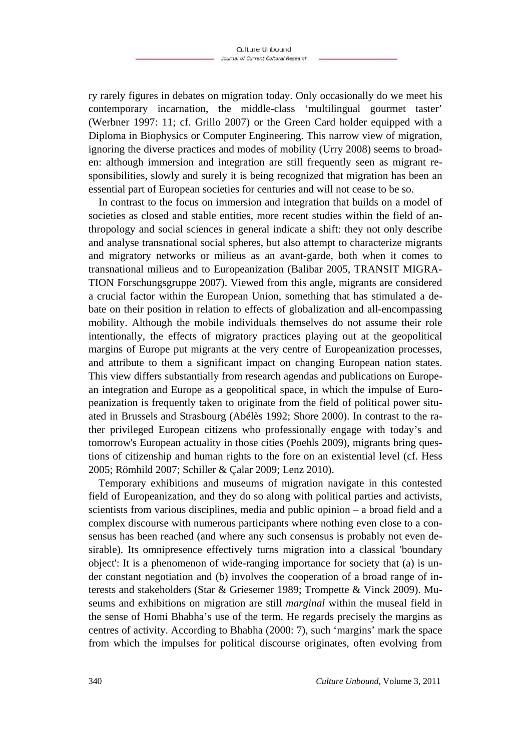ry rarely figures in debates on migration today. Only occasionally do we meet his contemporary incarnation, the middle-class 'multilingual gourmet taster' (Werbner 1997: 11; cf. Grillo 2007) or the Green Card holder equipped with a Diploma in Biophysics or Computer Engineering. This narrow view of migration, ignoring the diverse practices and modes of mobility (Urry 2008) seems to broaden: although immersion and integration are still frequently seen as migrant responsibilities, slowly and surely it is being recognized that migration has been an essential part of European societies for centuries and will not cease to be so.

In contrast to the focus on immersion and integration that builds on a model of societies as closed and stable entities, more recent studies within the field of anthropology and social sciences in general indicate a shift: they not only describe and analyse transnational social spheres, but also attempt to characterize migrants and migratory networks or milieus as an avant-garde, both when it comes to transnational milieus and to Europeanization (Balibar 2005, TRANSIT MIGRA-TION Forschungsgruppe 2007). Viewed from this angle, migrants are considered a crucial factor within the European Union, something that has stimulated a debate on their position in relation to effects of globalization and all-encompassing mobility. Although the mobile individuals themselves do not assume their role intentionally, the effects of migratory practices playing out at the geopolitical margins of Europe put migrants at the very centre of Europeanization processes, and attribute to them a significant impact on changing European nation states. This view differs substantially from research agendas and publications on European integration and Europe as a geopolitical space, in which the impulse of Europeanization is frequently taken to originate from the field of political power situated in Brussels and Strasbourg (Abélès 1992; Shore 2000). In contrast to the rather privileged European citizens who professionally engage with today's and tomorrow's European actuality in those cities (Poehls 2009), migrants bring questions of citizenship and human rights to the fore on an existential level (cf. Hess 2005; Römhild 2007; Schiller & Çalar 2009; Lenz 2010).

Temporary exhibitions and museums of migration navigate in this contested field of Europeanization, and they do so along with political parties and activists, scientists from various disciplines, media and public opinion – a broad field and a complex discourse with numerous participants where nothing even close to a consensus has been reached (and where any such consensus is probably not even desirable). Its omnipresence effectively turns migration into a classical 'boundary object': It is a phenomenon of wide-ranging importance for society that (a) is under constant negotiation and (b) involves the cooperation of a broad range of interests and stakeholders (Star & Griesemer 1989; Trompette & Vinck 2009). Museums and exhibitions on migration are still *marginal* within the museal field in the sense of Homi Bhabha's use of the term. He regards precisely the margins as centres of activity. According to Bhabha (2000: 7), such 'margins' mark the space from which the impulses for political discourse originates, often evolving from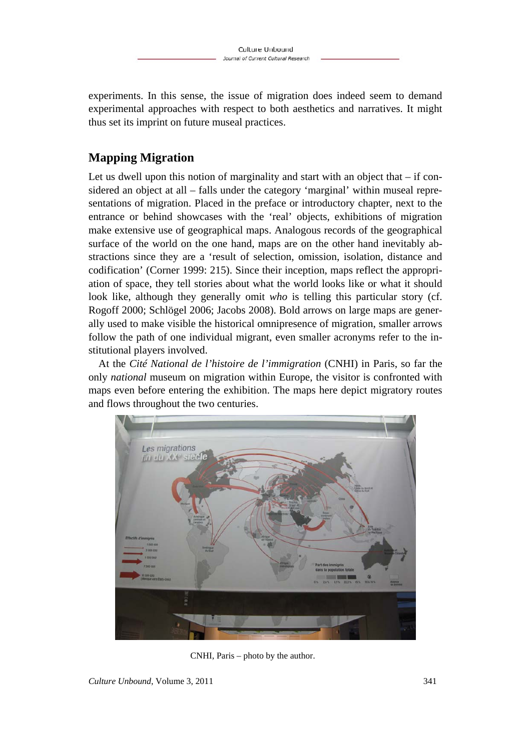experiments. In this sense, the issue of migration does indeed seem to demand experimental approaches with respect to both aesthetics and narratives. It might thus set its imprint on future museal practices.

# **Mapping Migration**

Let us dwell upon this notion of marginality and start with an object that  $-$  if considered an object at all – falls under the category 'marginal' within museal representations of migration. Placed in the preface or introductory chapter, next to the entrance or behind showcases with the 'real' objects, exhibitions of migration make extensive use of geographical maps. Analogous records of the geographical surface of the world on the one hand, maps are on the other hand inevitably abstractions since they are a 'result of selection, omission, isolation, distance and codification' (Corner 1999: 215). Since their inception, maps reflect the appropriation of space, they tell stories about what the world looks like or what it should look like, although they generally omit *who* is telling this particular story (cf. Rogoff 2000; Schlögel 2006; Jacobs 2008). Bold arrows on large maps are generally used to make visible the historical omnipresence of migration, smaller arrows follow the path of one individual migrant, even smaller acronyms refer to the institutional players involved.

At the *Cité National de l'histoire de l'immigration* (CNHI) in Paris, so far the only *national* museum on migration within Europe, the visitor is confronted with maps even before entering the exhibition. The maps here depict migratory routes and flows throughout the two centuries.



CNHI, Paris – photo by the author.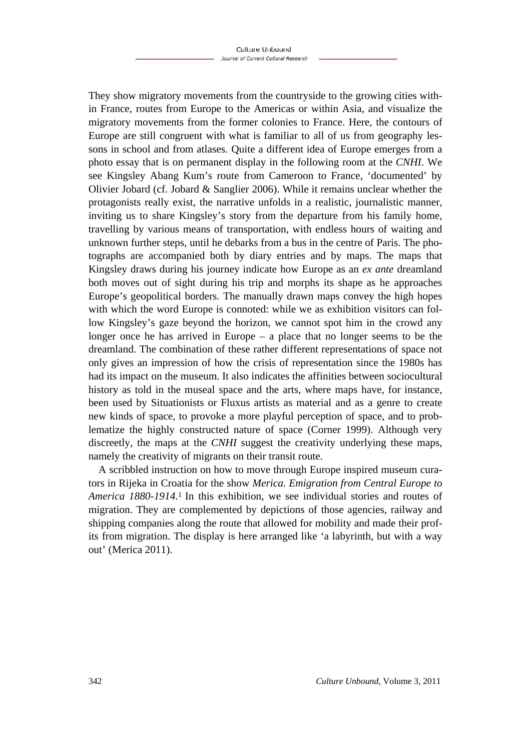They show migratory movements from the countryside to the growing cities within France, routes from Europe to the Americas or within Asia, and visualize the migratory movements from the former colonies to France. Here, the contours of Europe are still congruent with what is familiar to all of us from geography lessons in school and from atlases. Quite a different idea of Europe emerges from a photo essay that is on permanent display in the following room at the *CNHI*. We see Kingsley Abang Kum's route from Cameroon to France, 'documented' by Olivier Jobard (cf. Jobard & Sanglier 2006). While it remains unclear whether the protagonists really exist, the narrative unfolds in a realistic, journalistic manner, inviting us to share Kingsley's story from the departure from his family home, travelling by various means of transportation, with endless hours of waiting and unknown further steps, until he debarks from a bus in the centre of Paris. The photographs are accompanied both by diary entries and by maps. The maps that Kingsley draws during his journey indicate how Europe as an *ex ante* dreamland both moves out of sight during his trip and morphs its shape as he approaches Europe's geopolitical borders. The manually drawn maps convey the high hopes with which the word Europe is connoted: while we as exhibition visitors can follow Kingsley's gaze beyond the horizon, we cannot spot him in the crowd any longer once he has arrived in Europe – a place that no longer seems to be the dreamland. The combination of these rather different representations of space not only gives an impression of how the crisis of representation since the 1980s has had its impact on the museum. It also indicates the affinities between sociocultural history as told in the museal space and the arts, where maps have, for instance, been used by Situationists or Fluxus artists as material and as a genre to create new kinds of space, to provoke a more playful perception of space, and to problematize the highly constructed nature of space (Corner 1999). Although very discreetly, the maps at the *CNHI* suggest the creativity underlying these maps, namely the creativity of migrants on their transit route.

A scribbled instruction on how to move through Europe inspired museum curators in Rijeka in Croatia for the show *Merica. Emigration from Central Europe to America 1880-1914*.<sup>1</sup> In this exhibition, we see individual stories and routes of migration. They are complemented by depictions of those agencies, railway and shipping companies along the route that allowed for mobility and made their profits from migration. The display is here arranged like 'a labyrinth, but with a way out' (Merica 2011).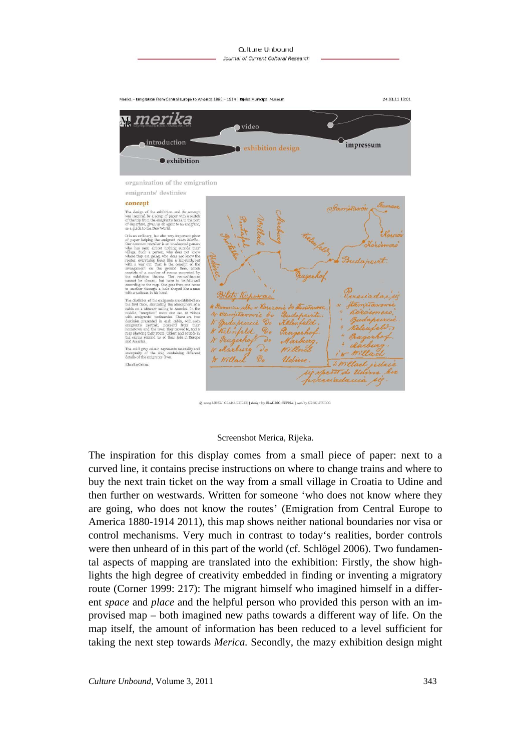![](_page_6_Figure_1.jpeg)

f the ship<br>emigrants' containing Klaudio Cetina

![](_page_6_Picture_5.jpeg)

© 2009 MUZEJ GRADA RIJEKE | design by KLAUDIO CETINA | web by NEON STUDIO

#### Screenshot Merica, Rijeka.

The inspiration for this display comes from a small piece of paper: next to a curved line, it contains precise instructions on where to change trains and where to buy the next train ticket on the way from a small village in Croatia to Udine and then further on westwards. Written for someone 'who does not know where they are going, who does not know the routes' (Emigration from Central Europe to America 1880-1914 2011), this map shows neither national boundaries nor visa or control mechanisms. Very much in contrast to today's realities, border controls were then unheard of in this part of the world (cf. Schlögel 2006). Two fundamental aspects of mapping are translated into the exhibition: Firstly, the show highlights the high degree of creativity embedded in finding or inventing a migratory route (Corner 1999: 217): The migrant himself who imagined himself in a different *space* and *place* and the helpful person who provided this person with an improvised map – both imagined new paths towards a different way of life. On the map itself, the amount of information has been reduced to a level sufficient for taking the next step towards *Merica.* Secondly, the mazy exhibition design might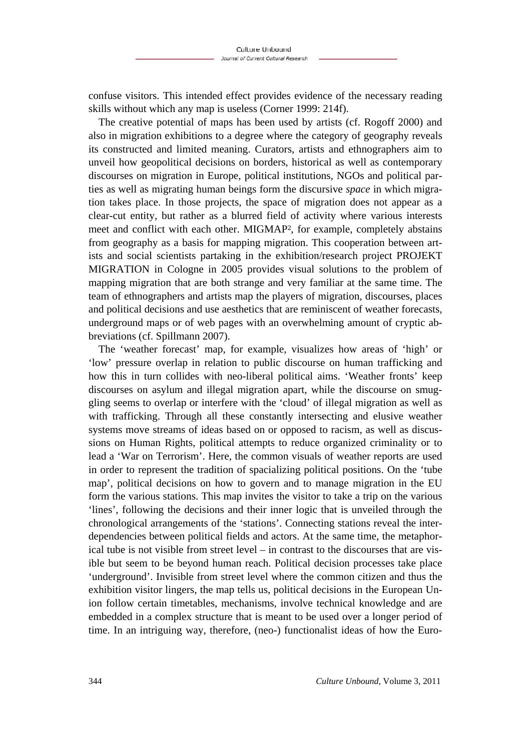confuse visitors. This intended effect provides evidence of the necessary reading skills without which any map is useless (Corner 1999: 214f).

The creative potential of maps has been used by artists (cf. Rogoff 2000) and also in migration exhibitions to a degree where the category of geography reveals its constructed and limited meaning. Curators, artists and ethnographers aim to unveil how geopolitical decisions on borders, historical as well as contemporary discourses on migration in Europe, political institutions, NGOs and political parties as well as migrating human beings form the discursive *space* in which migration takes place. In those projects, the space of migration does not appear as a clear-cut entity, but rather as a blurred field of activity where various interests meet and conflict with each other. MIGMAP2, for example, completely abstains from geography as a basis for mapping migration. This cooperation between artists and social scientists partaking in the exhibition/research project PROJEKT MIGRATION in Cologne in 2005 provides visual solutions to the problem of mapping migration that are both strange and very familiar at the same time. The team of ethnographers and artists map the players of migration, discourses, places and political decisions and use aesthetics that are reminiscent of weather forecasts, underground maps or of web pages with an overwhelming amount of cryptic abbreviations (cf. Spillmann 2007).

The 'weather forecast' map, for example, visualizes how areas of 'high' or 'low' pressure overlap in relation to public discourse on human trafficking and how this in turn collides with neo-liberal political aims. 'Weather fronts' keep discourses on asylum and illegal migration apart, while the discourse on smuggling seems to overlap or interfere with the 'cloud' of illegal migration as well as with trafficking. Through all these constantly intersecting and elusive weather systems move streams of ideas based on or opposed to racism, as well as discussions on Human Rights, political attempts to reduce organized criminality or to lead a 'War on Terrorism'. Here, the common visuals of weather reports are used in order to represent the tradition of spacializing political positions. On the 'tube map', political decisions on how to govern and to manage migration in the EU form the various stations. This map invites the visitor to take a trip on the various 'lines', following the decisions and their inner logic that is unveiled through the chronological arrangements of the 'stations'. Connecting stations reveal the interdependencies between political fields and actors. At the same time, the metaphorical tube is not visible from street level – in contrast to the discourses that are visible but seem to be beyond human reach. Political decision processes take place 'underground'. Invisible from street level where the common citizen and thus the exhibition visitor lingers, the map tells us, political decisions in the European Union follow certain timetables, mechanisms, involve technical knowledge and are embedded in a complex structure that is meant to be used over a longer period of time. In an intriguing way, therefore, (neo-) functionalist ideas of how the Euro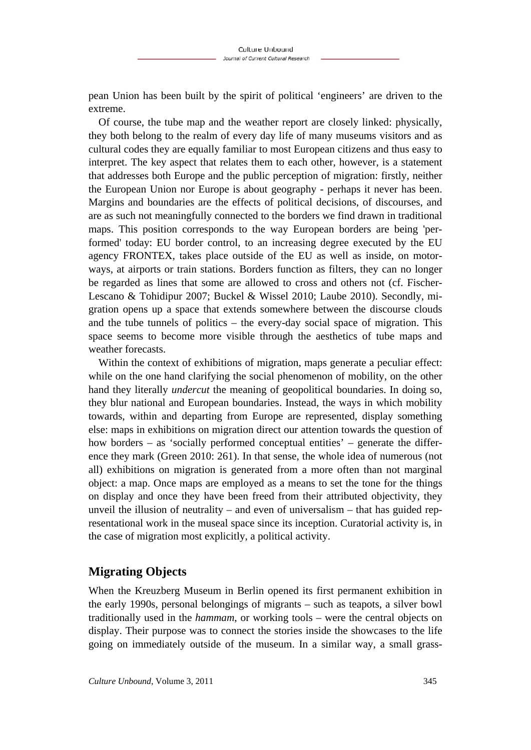pean Union has been built by the spirit of political 'engineers' are driven to the extreme.

Of course, the tube map and the weather report are closely linked: physically, they both belong to the realm of every day life of many museums visitors and as cultural codes they are equally familiar to most European citizens and thus easy to interpret. The key aspect that relates them to each other, however, is a statement that addresses both Europe and the public perception of migration: firstly, neither the European Union nor Europe is about geography - perhaps it never has been. Margins and boundaries are the effects of political decisions, of discourses, and are as such not meaningfully connected to the borders we find drawn in traditional maps. This position corresponds to the way European borders are being 'performed' today: EU border control, to an increasing degree executed by the EU agency FRONTEX, takes place outside of the EU as well as inside, on motorways, at airports or train stations. Borders function as filters, they can no longer be regarded as lines that some are allowed to cross and others not (cf. Fischer-Lescano & Tohidipur 2007; Buckel & Wissel 2010; Laube 2010). Secondly, migration opens up a space that extends somewhere between the discourse clouds and the tube tunnels of politics – the every-day social space of migration. This space seems to become more visible through the aesthetics of tube maps and weather forecasts.

Within the context of exhibitions of migration, maps generate a peculiar effect: while on the one hand clarifying the social phenomenon of mobility, on the other hand they literally *undercut* the meaning of geopolitical boundaries. In doing so, they blur national and European boundaries. Instead, the ways in which mobility towards, within and departing from Europe are represented, display something else: maps in exhibitions on migration direct our attention towards the question of how borders – as 'socially performed conceptual entities' – generate the difference they mark (Green 2010: 261). In that sense, the whole idea of numerous (not all) exhibitions on migration is generated from a more often than not marginal object: a map. Once maps are employed as a means to set the tone for the things on display and once they have been freed from their attributed objectivity, they unveil the illusion of neutrality – and even of universalism – that has guided representational work in the museal space since its inception. Curatorial activity is, in the case of migration most explicitly, a political activity.

# **Migrating Objects**

When the Kreuzberg Museum in Berlin opened its first permanent exhibition in the early 1990s, personal belongings of migrants – such as teapots, a silver bowl traditionally used in the *hammam*, or working tools – were the central objects on display. Their purpose was to connect the stories inside the showcases to the life going on immediately outside of the museum. In a similar way, a small grass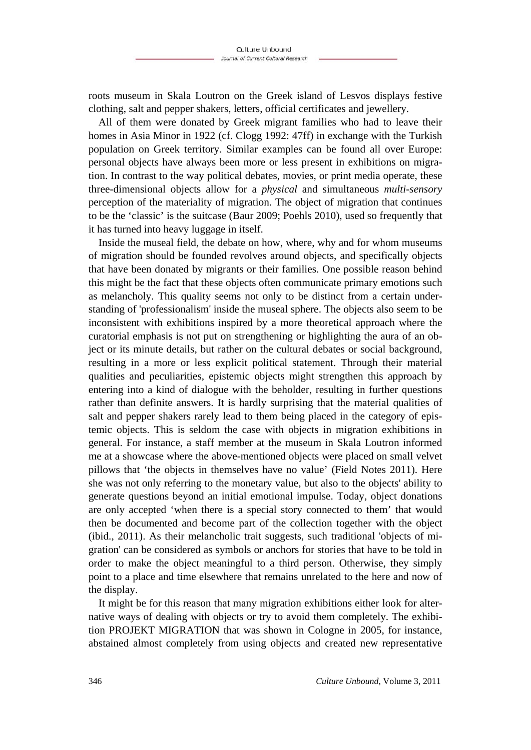roots museum in Skala Loutron on the Greek island of Lesvos displays festive clothing, salt and pepper shakers, letters, official certificates and jewellery.

All of them were donated by Greek migrant families who had to leave their homes in Asia Minor in 1922 (cf. Clogg 1992: 47ff) in exchange with the Turkish population on Greek territory. Similar examples can be found all over Europe: personal objects have always been more or less present in exhibitions on migration. In contrast to the way political debates, movies, or print media operate, these three-dimensional objects allow for a *physical* and simultaneous *multi-sensory* perception of the materiality of migration. The object of migration that continues to be the 'classic' is the suitcase (Baur 2009; Poehls 2010), used so frequently that it has turned into heavy luggage in itself.

Inside the museal field, the debate on how, where, why and for whom museums of migration should be founded revolves around objects, and specifically objects that have been donated by migrants or their families. One possible reason behind this might be the fact that these objects often communicate primary emotions such as melancholy. This quality seems not only to be distinct from a certain understanding of 'professionalism' inside the museal sphere. The objects also seem to be inconsistent with exhibitions inspired by a more theoretical approach where the curatorial emphasis is not put on strengthening or highlighting the aura of an object or its minute details, but rather on the cultural debates or social background, resulting in a more or less explicit political statement. Through their material qualities and peculiarities, epistemic objects might strengthen this approach by entering into a kind of dialogue with the beholder, resulting in further questions rather than definite answers. It is hardly surprising that the material qualities of salt and pepper shakers rarely lead to them being placed in the category of epistemic objects. This is seldom the case with objects in migration exhibitions in general. For instance, a staff member at the museum in Skala Loutron informed me at a showcase where the above-mentioned objects were placed on small velvet pillows that 'the objects in themselves have no value' (Field Notes 2011). Here she was not only referring to the monetary value, but also to the objects' ability to generate questions beyond an initial emotional impulse. Today, object donations are only accepted 'when there is a special story connected to them' that would then be documented and become part of the collection together with the object (ibid., 2011). As their melancholic trait suggests, such traditional 'objects of migration' can be considered as symbols or anchors for stories that have to be told in order to make the object meaningful to a third person. Otherwise, they simply point to a place and time elsewhere that remains unrelated to the here and now of the display.

It might be for this reason that many migration exhibitions either look for alternative ways of dealing with objects or try to avoid them completely. The exhibition PROJEKT MIGRATION that was shown in Cologne in 2005, for instance, abstained almost completely from using objects and created new representative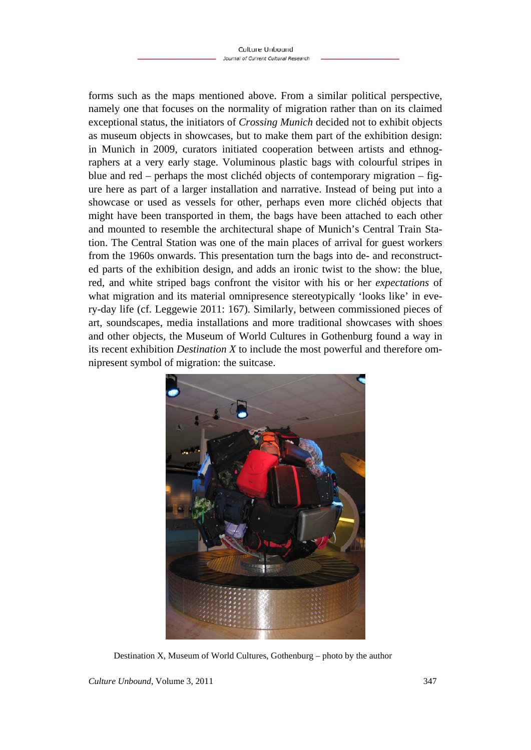forms such as the maps mentioned above. From a similar political perspective, namely one that focuses on the normality of migration rather than on its claimed exceptional status, the initiators of *Crossing Munich* decided not to exhibit objects as museum objects in showcases, but to make them part of the exhibition design: in Munich in 2009, curators initiated cooperation between artists and ethnographers at a very early stage. Voluminous plastic bags with colourful stripes in blue and red – perhaps the most clichéd objects of contemporary migration – figure here as part of a larger installation and narrative. Instead of being put into a showcase or used as vessels for other, perhaps even more clichéd objects that might have been transported in them, the bags have been attached to each other and mounted to resemble the architectural shape of Munich's Central Train Station. The Central Station was one of the main places of arrival for guest workers from the 1960s onwards. This presentation turn the bags into de- and reconstructed parts of the exhibition design, and adds an ironic twist to the show: the blue, red, and white striped bags confront the visitor with his or her *expectations* of what migration and its material omnipresence stereotypically 'looks like' in every-day life (cf. Leggewie 2011: 167). Similarly, between commissioned pieces of art, soundscapes, media installations and more traditional showcases with shoes and other objects, the Museum of World Cultures in Gothenburg found a way in its recent exhibition *Destination X* to include the most powerful and therefore omnipresent symbol of migration: the suitcase.

![](_page_10_Picture_2.jpeg)

Destination X, Museum of World Cultures, Gothenburg – photo by the author

*Culture Unbound*, Volume 3, 2011 347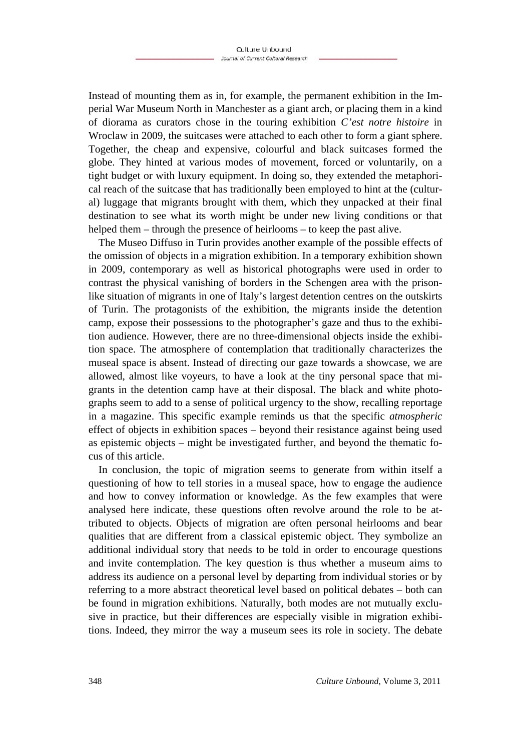Instead of mounting them as in, for example, the permanent exhibition in the Imperial War Museum North in Manchester as a giant arch, or placing them in a kind of diorama as curators chose in the touring exhibition *C'est notre histoire* in Wroclaw in 2009, the suitcases were attached to each other to form a giant sphere. Together, the cheap and expensive, colourful and black suitcases formed the globe. They hinted at various modes of movement, forced or voluntarily, on a tight budget or with luxury equipment. In doing so, they extended the metaphorical reach of the suitcase that has traditionally been employed to hint at the (cultural) luggage that migrants brought with them, which they unpacked at their final destination to see what its worth might be under new living conditions or that helped them – through the presence of heirlooms – to keep the past alive.

The Museo Diffuso in Turin provides another example of the possible effects of the omission of objects in a migration exhibition. In a temporary exhibition shown in 2009, contemporary as well as historical photographs were used in order to contrast the physical vanishing of borders in the Schengen area with the prisonlike situation of migrants in one of Italy's largest detention centres on the outskirts of Turin. The protagonists of the exhibition, the migrants inside the detention camp, expose their possessions to the photographer's gaze and thus to the exhibition audience. However, there are no three-dimensional objects inside the exhibition space. The atmosphere of contemplation that traditionally characterizes the museal space is absent. Instead of directing our gaze towards a showcase, we are allowed, almost like voyeurs, to have a look at the tiny personal space that migrants in the detention camp have at their disposal. The black and white photographs seem to add to a sense of political urgency to the show, recalling reportage in a magazine. This specific example reminds us that the specific *atmospheric* effect of objects in exhibition spaces – beyond their resistance against being used as epistemic objects – might be investigated further, and beyond the thematic focus of this article.

In conclusion, the topic of migration seems to generate from within itself a questioning of how to tell stories in a museal space, how to engage the audience and how to convey information or knowledge. As the few examples that were analysed here indicate, these questions often revolve around the role to be attributed to objects. Objects of migration are often personal heirlooms and bear qualities that are different from a classical epistemic object. They symbolize an additional individual story that needs to be told in order to encourage questions and invite contemplation. The key question is thus whether a museum aims to address its audience on a personal level by departing from individual stories or by referring to a more abstract theoretical level based on political debates – both can be found in migration exhibitions. Naturally, both modes are not mutually exclusive in practice, but their differences are especially visible in migration exhibitions. Indeed, they mirror the way a museum sees its role in society. The debate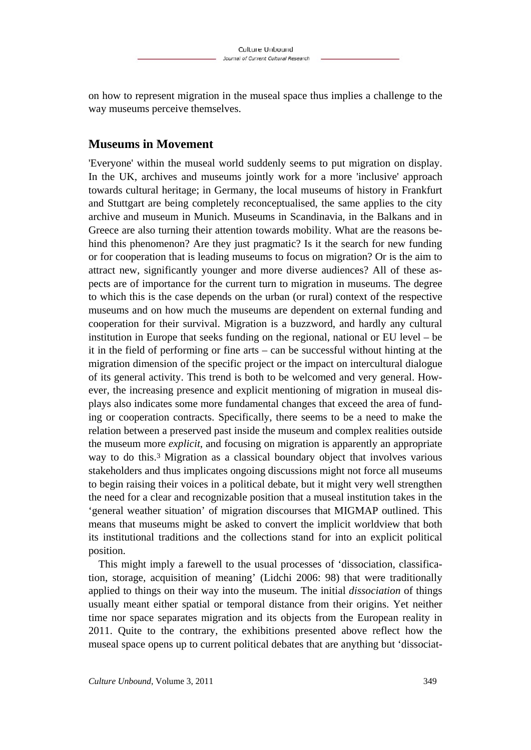on how to represent migration in the museal space thus implies a challenge to the way museums perceive themselves.

# **Museums in Movement**

'Everyone' within the museal world suddenly seems to put migration on display. In the UK, archives and museums jointly work for a more 'inclusive' approach towards cultural heritage; in Germany, the local museums of history in Frankfurt and Stuttgart are being completely reconceptualised, the same applies to the city archive and museum in Munich. Museums in Scandinavia, in the Balkans and in Greece are also turning their attention towards mobility. What are the reasons behind this phenomenon? Are they just pragmatic? Is it the search for new funding or for cooperation that is leading museums to focus on migration? Or is the aim to attract new, significantly younger and more diverse audiences? All of these aspects are of importance for the current turn to migration in museums. The degree to which this is the case depends on the urban (or rural) context of the respective museums and on how much the museums are dependent on external funding and cooperation for their survival. Migration is a buzzword, and hardly any cultural institution in Europe that seeks funding on the regional, national or EU level – be it in the field of performing or fine arts – can be successful without hinting at the migration dimension of the specific project or the impact on intercultural dialogue of its general activity. This trend is both to be welcomed and very general. However, the increasing presence and explicit mentioning of migration in museal displays also indicates some more fundamental changes that exceed the area of funding or cooperation contracts. Specifically, there seems to be a need to make the relation between a preserved past inside the museum and complex realities outside the museum more *explicit*, and focusing on migration is apparently an appropriate way to do this.3 Migration as a classical boundary object that involves various stakeholders and thus implicates ongoing discussions might not force all museums to begin raising their voices in a political debate, but it might very well strengthen the need for a clear and recognizable position that a museal institution takes in the 'general weather situation' of migration discourses that MIGMAP outlined. This means that museums might be asked to convert the implicit worldview that both its institutional traditions and the collections stand for into an explicit political position.

This might imply a farewell to the usual processes of 'dissociation, classification, storage, acquisition of meaning' (Lidchi 2006: 98) that were traditionally applied to things on their way into the museum. The initial *dissociation* of things usually meant either spatial or temporal distance from their origins. Yet neither time nor space separates migration and its objects from the European reality in 2011. Quite to the contrary, the exhibitions presented above reflect how the museal space opens up to current political debates that are anything but 'dissociat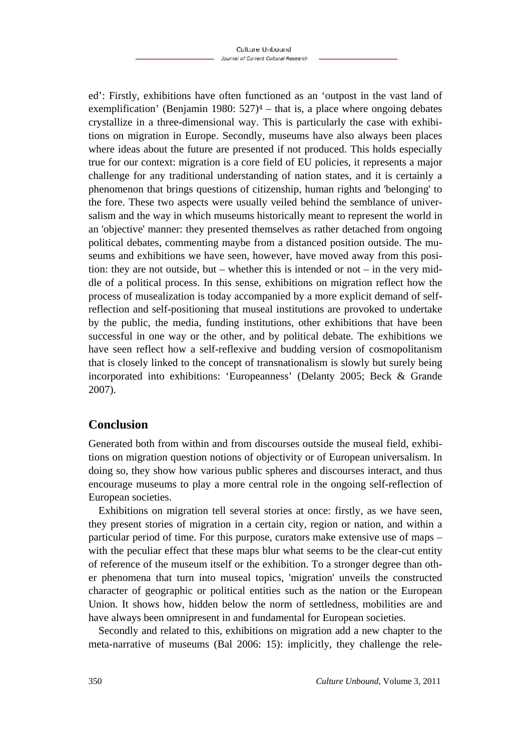ed': Firstly, exhibitions have often functioned as an 'outpost in the vast land of exemplification' (Benjamin 1980:  $527$ )<sup>4</sup> – that is, a place where ongoing debates crystallize in a three-dimensional way. This is particularly the case with exhibitions on migration in Europe. Secondly, museums have also always been places where ideas about the future are presented if not produced. This holds especially true for our context: migration is a core field of EU policies, it represents a major challenge for any traditional understanding of nation states, and it is certainly a phenomenon that brings questions of citizenship, human rights and 'belonging' to the fore. These two aspects were usually veiled behind the semblance of universalism and the way in which museums historically meant to represent the world in an 'objective' manner: they presented themselves as rather detached from ongoing political debates, commenting maybe from a distanced position outside. The museums and exhibitions we have seen, however, have moved away from this position: they are not outside, but – whether this is intended or not – in the very middle of a political process. In this sense, exhibitions on migration reflect how the process of musealization is today accompanied by a more explicit demand of selfreflection and self-positioning that museal institutions are provoked to undertake by the public, the media, funding institutions, other exhibitions that have been successful in one way or the other, and by political debate. The exhibitions we have seen reflect how a self-reflexive and budding version of cosmopolitanism that is closely linked to the concept of transnationalism is slowly but surely being incorporated into exhibitions: 'Europeanness' (Delanty 2005; Beck & Grande 2007).

# **Conclusion**

Generated both from within and from discourses outside the museal field, exhibitions on migration question notions of objectivity or of European universalism. In doing so, they show how various public spheres and discourses interact, and thus encourage museums to play a more central role in the ongoing self-reflection of European societies.

Exhibitions on migration tell several stories at once: firstly, as we have seen, they present stories of migration in a certain city, region or nation, and within a particular period of time. For this purpose, curators make extensive use of maps – with the peculiar effect that these maps blur what seems to be the clear-cut entity of reference of the museum itself or the exhibition. To a stronger degree than other phenomena that turn into museal topics, 'migration' unveils the constructed character of geographic or political entities such as the nation or the European Union. It shows how, hidden below the norm of settledness, mobilities are and have always been omnipresent in and fundamental for European societies.

Secondly and related to this, exhibitions on migration add a new chapter to the meta-narrative of museums (Bal 2006: 15): implicitly, they challenge the rele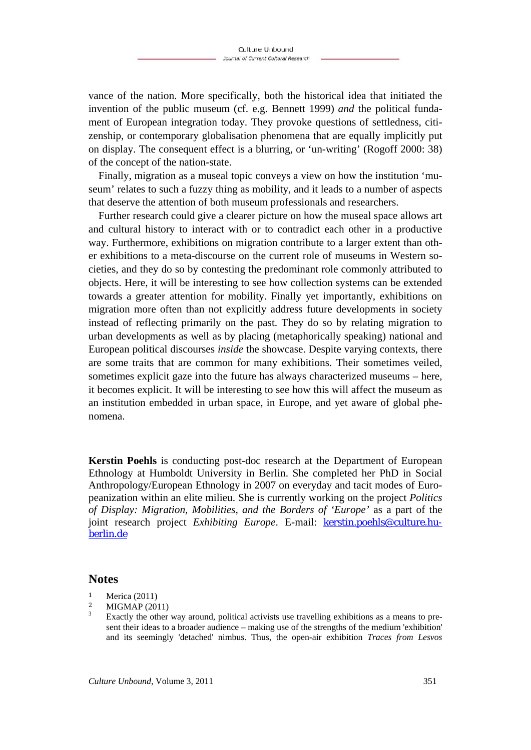vance of the nation. More specifically, both the historical idea that initiated the invention of the public museum (cf. e.g. Bennett 1999) *and* the political fundament of European integration today. They provoke questions of settledness, citizenship, or contemporary globalisation phenomena that are equally implicitly put on display. The consequent effect is a blurring, or 'un-writing' (Rogoff 2000: 38) of the concept of the nation-state.

Finally, migration as a museal topic conveys a view on how the institution 'museum' relates to such a fuzzy thing as mobility, and it leads to a number of aspects that deserve the attention of both museum professionals and researchers.

Further research could give a clearer picture on how the museal space allows art and cultural history to interact with or to contradict each other in a productive way. Furthermore, exhibitions on migration contribute to a larger extent than other exhibitions to a meta-discourse on the current role of museums in Western societies, and they do so by contesting the predominant role commonly attributed to objects. Here, it will be interesting to see how collection systems can be extended towards a greater attention for mobility. Finally yet importantly, exhibitions on migration more often than not explicitly address future developments in society instead of reflecting primarily on the past. They do so by relating migration to urban developments as well as by placing (metaphorically speaking) national and European political discourses *inside* the showcase. Despite varying contexts, there are some traits that are common for many exhibitions. Their sometimes veiled, sometimes explicit gaze into the future has always characterized museums – here, it becomes explicit. It will be interesting to see how this will affect the museum as an institution embedded in urban space, in Europe, and yet aware of global phenomena.

**Kerstin Poehls** is conducting post-doc research at the Department of European Ethnology at Humboldt University in Berlin. She completed her PhD in Social Anthropology/European Ethnology in 2007 on everyday and tacit modes of Europeanization within an elite milieu. She is currently working on the project *Politics of Display: Migration, Mobilities, and the Borders of 'Europe'* as a part of the joint research project *Exhibiting Europe*. E-mail: kerstin.poehls@culture.huberlin.de

#### **Notes**

- $\frac{1}{2}$  Merica (2011)
- **MIGMAP** (2011) 3

Exactly the other way around, political activists use travelling exhibitions as a means to present their ideas to a broader audience – making use of the strengths of the medium 'exhibition' and its seemingly 'detached' nimbus. Thus, the open-air exhibition *Traces from Lesvos*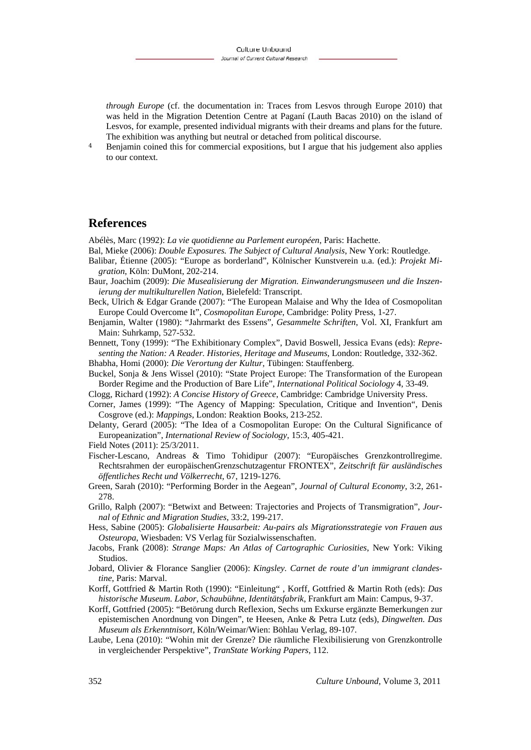*through Europe* (cf. the documentation in: Traces from Lesvos through Europe 2010) that was held in the Migration Detention Centre at Paganí (Lauth Bacas 2010) on the island of Lesvos, for example, presented individual migrants with their dreams and plans for the future. The exhibition was anything but neutral or detached from political discourse.

<sup>4</sup> Benjamin coined this for commercial expositions, but I argue that his judgement also applies to our context.

### **References**

Abélès, Marc (1992): *La vie quotidienne au Parlement européen*, Paris: Hachette.

- Bal, Mieke (2006): *Double Exposures. The Subject of Cultural Analysis*, New York: Routledge.
- Balibar, Étienne (2005): "Europe as borderland", Kölnischer Kunstverein u.a. (ed.): *Projekt Migration*, Köln: DuMont, 202-214.
- Baur, Joachim (2009): *Die Musealisierung der Migration. Einwanderungsmuseen und die Inszenierung der multikulturellen Nation*, Bielefeld: Transcript.
- Beck, Ulrich & Edgar Grande (2007): "The European Malaise and Why the Idea of Cosmopolitan Europe Could Overcome It", *Cosmopolitan Europe*, Cambridge: Polity Press, 1-27.
- Benjamin, Walter (1980): "Jahrmarkt des Essens", *Gesammelte Schriften*, Vol. XI, Frankfurt am Main: Suhrkamp, 527-532.
- Bennett, Tony (1999): "The Exhibitionary Complex", David Boswell, Jessica Evans (eds): *Representing the Nation: A Reader. Histories, Heritage and Museums*, London: Routledge, 332-362.

Bhabha, Homi (2000): *Die Verortung der Kultur*, Tübingen: Stauffenberg.

Buckel, Sonja & Jens Wissel (2010): "State Project Europe: The Transformation of the European Border Regime and the Production of Bare Life", *International Political Sociology* 4, 33-49.

Clogg, Richard (1992): *A Concise History of Greece*, Cambridge: Cambridge University Press.

- Corner, James (1999): "The Agency of Mapping: Speculation, Critique and Invention", Denis Cosgrove (ed.): *Mappings*, London: Reaktion Books, 213-252.
- Delanty, Gerard (2005): "The Idea of a Cosmopolitan Europe: On the Cultural Significance of Europeanization", *International Review of Sociology*, 15:3, 405-421.

- Fischer-Lescano, Andreas & Timo Tohidipur (2007): "Europäisches Grenzkontrollregime. Rechtsrahmen der europäischenGrenzschutzagentur FRONTEX", *Zeitschrift für ausländisches öffentliches Recht und Völkerrecht*, 67, 1219-1276.
- Green, Sarah (2010): "Performing Border in the Aegean", *Journal of Cultural Economy*, 3:2, 261- 278.
- Grillo, Ralph (2007): "Betwixt and Between: Trajectories and Projects of Transmigration", *Journal of Ethnic and Migration Studies*, 33:2, 199-217.
- Hess, Sabine (2005): *Globalisierte Hausarbeit: Au-pairs als Migrationsstrategie von Frauen aus Osteuropa*, Wiesbaden: VS Verlag für Sozialwissenschaften.
- Jacobs, Frank (2008): *Strange Maps: An Atlas of Cartographic Curiosities*, New York: Viking Studios.
- Jobard, Olivier & Florance Sanglier (2006): *Kingsley. Carnet de route d'un immigrant clandestine*, Paris: Marval.
- Korff, Gottfried & Martin Roth (1990): "Einleitung" , Korff, Gottfried & Martin Roth (eds): *Das historische Museum. Labor, Schaubühne, Identitätsfabrik*, Frankfurt am Main: Campus, 9-37.
- Korff, Gottfried (2005): "Betörung durch Reflexion, Sechs um Exkurse ergänzte Bemerkungen zur epistemischen Anordnung von Dingen", te Heesen, Anke & Petra Lutz (eds), *Dingwelten. Das Museum als Erkenntnisort*, Köln/Weimar/Wien: Böhlau Verlag, 89-107.
- Laube, Lena (2010): "Wohin mit der Grenze? Die räumliche Flexibilisierung von Grenzkontrolle in vergleichender Perspektive", *TranState Working Papers*, 112.

Field Notes (2011): 25/3/2011.